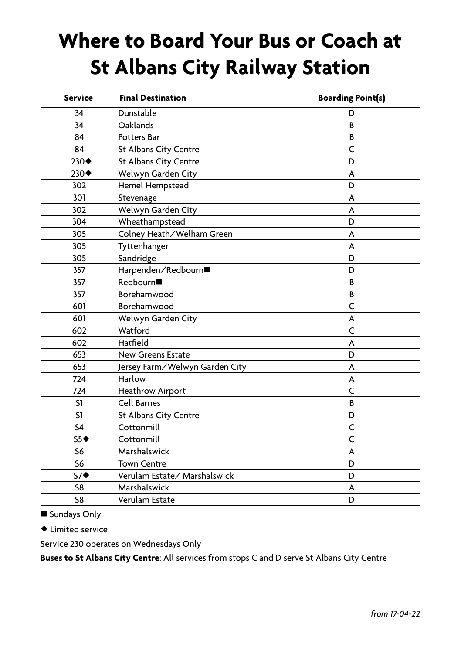## **Where to Board Your Bus or Coach at St Albans City Railway Station**

| <b>Service</b>       | <b>Final Destination</b>       | <b>Boarding Point(s)</b> |
|----------------------|--------------------------------|--------------------------|
| 34                   | Dunstable                      | D                        |
| 34                   | Oaklands                       | B                        |
| 84                   | <b>Potters Bar</b>             | В                        |
| 84                   | St Albans City Centre          | C                        |
| $230 \blacklozenge$  | St Albans City Centre          | D                        |
| $230 \blacklozenge$  | Welwyn Garden City             | A                        |
| 302                  | Hemel Hempstead                | D                        |
| 301                  | Stevenage                      | A                        |
| 302                  | Welwyn Garden City             | A                        |
| 304                  | Wheathampstead                 | D                        |
| 305                  | Colney Heath/Welham Green      | A                        |
| 305                  | Tyttenhanger                   | A                        |
| 305                  | Sandridge                      | D                        |
| 357                  | Harpenden/Redbourn■            | D                        |
| 357                  | Redbourn■                      | B                        |
| 357                  | Borehamwood                    | B                        |
| 601                  | Borehamwood                    | Ċ                        |
| 601                  | Welwyn Garden City             | А                        |
| 602                  | Watford                        | C                        |
| 602                  | Hatfield                       | A                        |
| 653                  | <b>New Greens Estate</b>       | D                        |
| 653                  | Jersey Farm/Welwyn Garden City | A                        |
| 724                  | Harlow                         | A                        |
| 724                  | <b>Heathrow Airport</b>        | C                        |
| S1                   | <b>Cell Barnes</b>             | B                        |
| S1                   | St Albans City Centre          | D                        |
| S <sub>4</sub>       | Cottonmill                     | C                        |
| $S5+$                | Cottonmill                     | Ċ                        |
| S6                   | Marshalswick                   | A                        |
| S6                   | <b>Town Centre</b>             | D                        |
| $S7$ $\triangleleft$ | Verulam Estate/Marshalswick    | D                        |
| S8                   | Marshalswick                   | A                        |
| S8                   | Verulam Estate                 | D                        |

■ Sundays Only

 $\blacklozenge$  Limited service

Service 230 operates on Wednesdays Only

**Buses to St Albans City Centre**: All services from stops C and D serve St Albans City Centre